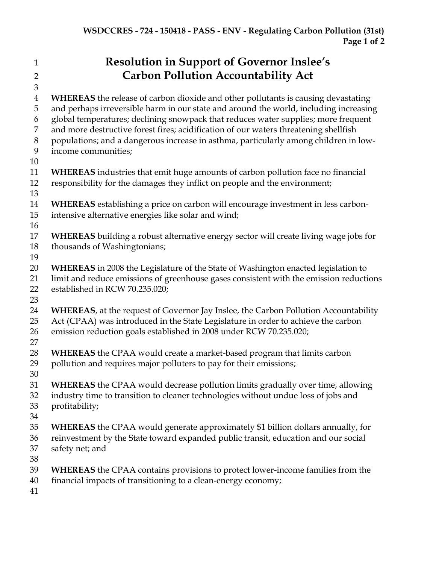## **Resolution in Support of Governor Inslee's Carbon Pollution Accountability Act**

 **WHEREAS** the release of carbon dioxide and other pollutants is causing devastating and perhaps irreversible harm in our state and around the world, including increasing global temperatures; declining snowpack that reduces water supplies; more frequent and more destructive forest fires; acidification of our waters threatening shellfish populations; and a dangerous increase in asthma, particularly among children in low- income communities; **WHEREAS** industries that emit huge amounts of carbon pollution face no financial responsibility for the damages they inflict on people and the environment; **WHEREAS** establishing a price on carbon will encourage investment in less carbon- intensive alternative energies like solar and wind; **WHEREAS** building a robust alternative energy sector will create living wage jobs for thousands of Washingtonians; **WHEREAS** in 2008 the Legislature of the State of Washington enacted legislation to limit and reduce emissions of greenhouse gases consistent with the emission reductions established in RCW 70.235.020; **WHEREAS**, at the request of Governor Jay Inslee, the Carbon Pollution Accountability Act (CPAA) was introduced in the State Legislature in order to achieve the carbon emission reduction goals established in 2008 under RCW 70.235.020; **WHEREAS** the CPAA would create a market-based program that limits carbon pollution and requires major polluters to pay for their emissions; **WHEREAS** the CPAA would decrease pollution limits gradually over time, allowing industry time to transition to cleaner technologies without undue loss of jobs and profitability; **WHEREAS** the CPAA would generate approximately \$1 billion dollars annually, for reinvestment by the State toward expanded public transit, education and our social safety net; and **WHEREAS** the CPAA contains provisions to protect lower-income families from the financial impacts of transitioning to a clean-energy economy;